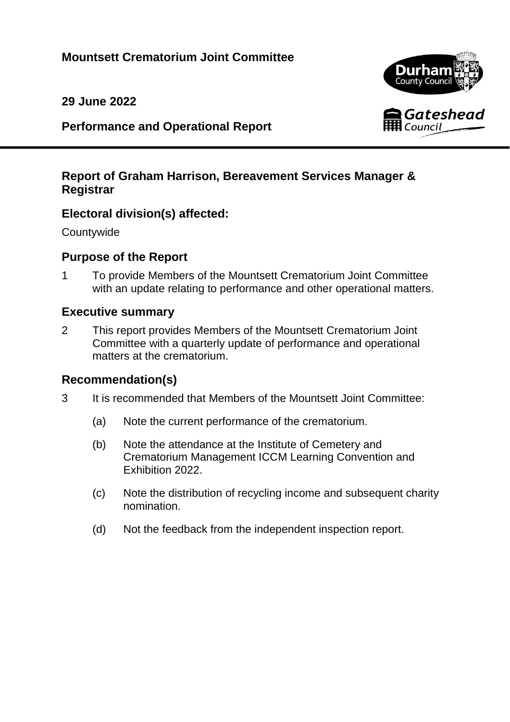**29 June 2022**

**Performance and Operational Report**

# **Report of Graham Harrison, Bereavement Services Manager & Registrar**

# **Electoral division(s) affected:**

**Countywide** 

# **Purpose of the Report**

1 To provide Members of the Mountsett Crematorium Joint Committee with an update relating to performance and other operational matters.

## **Executive summary**

2 This report provides Members of the Mountsett Crematorium Joint Committee with a quarterly update of performance and operational matters at the crematorium.

## **Recommendation(s)**

- 3 It is recommended that Members of the Mountsett Joint Committee:
	- (a) Note the current performance of the crematorium.
	- (b) Note the attendance at the Institute of Cemetery and Crematorium Management ICCM Learning Convention and Exhibition 2022.
	- (c) Note the distribution of recycling income and subsequent charity nomination.
	- (d) Not the feedback from the independent inspection report.

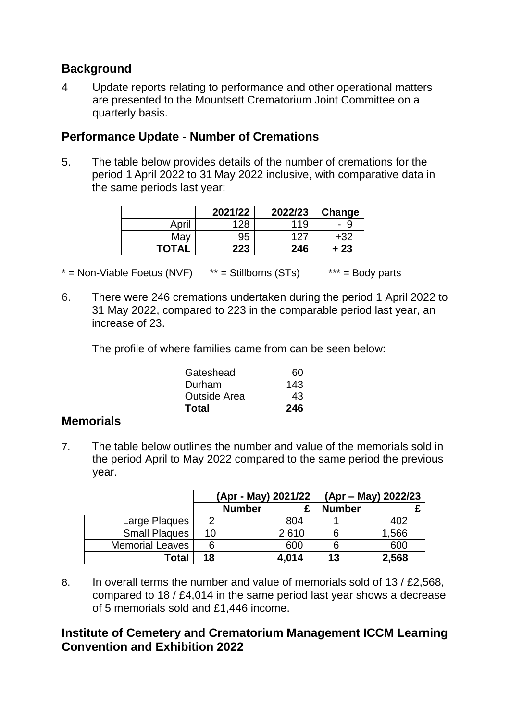## **Background**

4 Update reports relating to performance and other operational matters are presented to the Mountsett Crematorium Joint Committee on a quarterly basis.

## **Performance Update - Number of Cremations**

5. The table below provides details of the number of cremations for the period 1 April 2022 to 31 May 2022 inclusive, with comparative data in the same periods last year:

|              | 2021/22 | 2022/23 | Change |
|--------------|---------|---------|--------|
| April        | 128     | 119     | У      |
| May          | 95      | 127     | +32    |
| <b>TOTAL</b> | 223     | 246     | ⊦ 23   |

 $* =$  Non-Viable Foetus (NVF)  $* =$  Stillborns (STs)  $* * =$  Body parts

6. There were 246 cremations undertaken during the period 1 April 2022 to 31 May 2022, compared to 223 in the comparable period last year, an increase of 23.

The profile of where families came from can be seen below:

| Gateshead           | 60  |
|---------------------|-----|
| Durham              | 143 |
| <b>Outside Area</b> | 43  |
| Total               | 246 |

## **Memorials**

7. The table below outlines the number and value of the memorials sold in the period April to May 2022 compared to the same period the previous year.

|                        | (Apr - May) 2021/22 |               | (Apr – May) 2022/23 |               |       |
|------------------------|---------------------|---------------|---------------------|---------------|-------|
|                        |                     | <b>Number</b> |                     | <b>Number</b> |       |
| Large Plaques          |                     |               | 804                 |               | 402   |
| <b>Small Plaques</b>   | 10                  |               | 2,610               |               | 1,566 |
| <b>Memorial Leaves</b> |                     |               | 600                 |               | 600   |
| Total                  | 18                  |               | 4,014               | 13            | 2,568 |

8. In overall terms the number and value of memorials sold of 13 / £2,568, compared to 18 / £4,014 in the same period last year shows a decrease of 5 memorials sold and £1,446 income.

## **Institute of Cemetery and Crematorium Management ICCM Learning Convention and Exhibition 2022**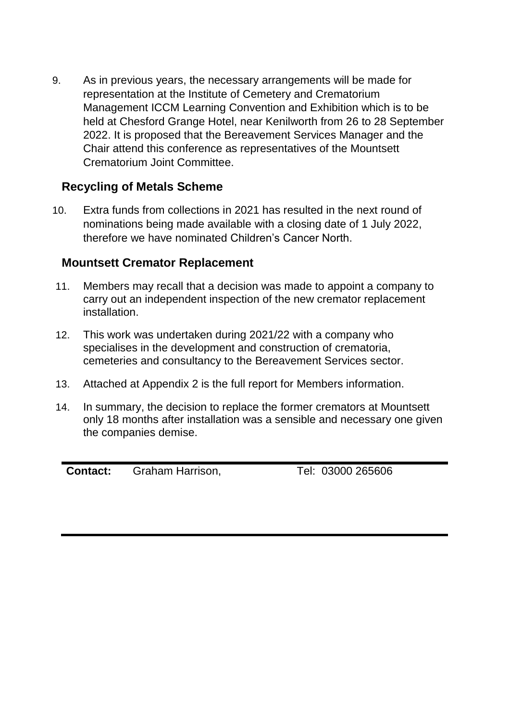9. As in previous years, the necessary arrangements will be made for representation at the Institute of Cemetery and Crematorium Management ICCM Learning Convention and Exhibition which is to be held at Chesford Grange Hotel, near Kenilworth from 26 to 28 September 2022. It is proposed that the Bereavement Services Manager and the Chair attend this conference as representatives of the Mountsett Crematorium Joint Committee.

## **Recycling of Metals Scheme**

10. Extra funds from collections in 2021 has resulted in the next round of nominations being made available with a closing date of 1 July 2022, therefore we have nominated Children's Cancer North.

## **Mountsett Cremator Replacement**

- 11. Members may recall that a decision was made to appoint a company to carry out an independent inspection of the new cremator replacement installation.
- 12. This work was undertaken during 2021/22 with a company who specialises in the development and construction of crematoria, cemeteries and consultancy to the Bereavement Services sector.
- 13. Attached at Appendix 2 is the full report for Members information.
- 14. In summary, the decision to replace the former cremators at Mountsett only 18 months after installation was a sensible and necessary one given the companies demise.

**Contact:** Graham Harrison, Tel: 03000 265606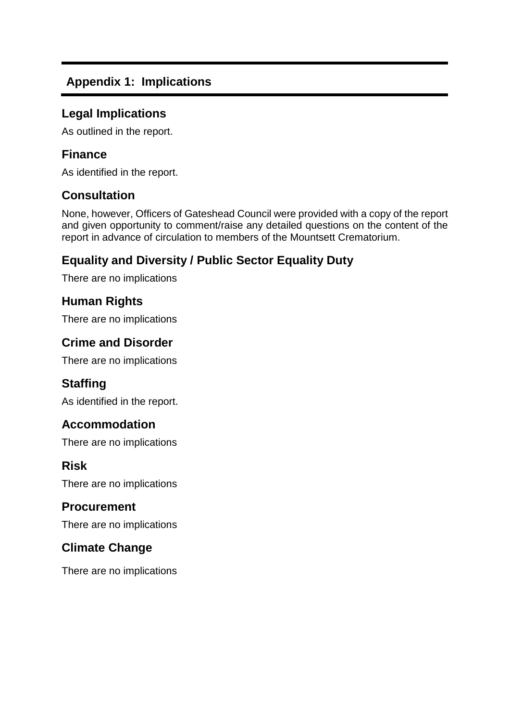# **Appendix 1: Implications**

#### **Legal Implications**

As outlined in the report.

#### **Finance**

As identified in the report.

#### **Consultation**

None, however, Officers of Gateshead Council were provided with a copy of the report and given opportunity to comment/raise any detailed questions on the content of the report in advance of circulation to members of the Mountsett Crematorium.

# **Equality and Diversity / Public Sector Equality Duty**

There are no implications

#### **Human Rights**

There are no implications

#### **Crime and Disorder**

There are no implications

## **Staffing**

As identified in the report.

#### **Accommodation**

There are no implications

#### **Risk**

There are no implications

#### **Procurement**

There are no implications

## **Climate Change**

There are no implications